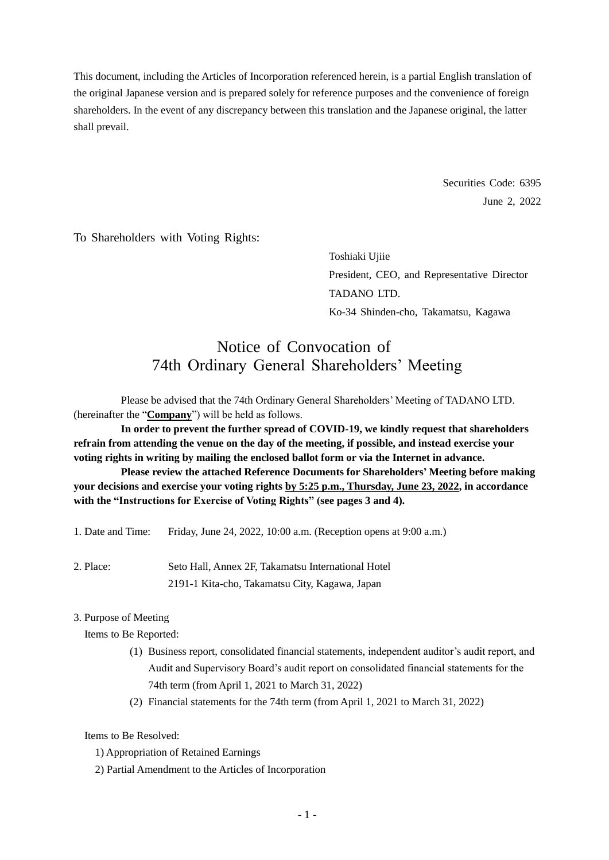This document, including the Articles of Incorporation referenced herein, is a partial English translation of the original Japanese version and is prepared solely for reference purposes and the convenience of foreign shareholders. In the event of any discrepancy between this translation and the Japanese original, the latter shall prevail.

> Securities Code: 6395 June 2, 2022

To Shareholders with Voting Rights:

Toshiaki Ujiie President, CEO, and Representative Director TADANO LTD. Ko-34 Shinden-cho, Takamatsu, Kagawa

# Notice of Convocation of 74th Ordinary General Shareholders' Meeting

Please be advised that the 74th Ordinary General Shareholders' Meeting of TADANO LTD. (hereinafter the "**Company**") will be held as follows.

**In order to prevent the further spread of COVID-19, we kindly request that shareholders refrain from attending the venue on the day of the meeting, if possible, and instead exercise your voting rights in writing by mailing the enclosed ballot form or via the Internet in advance.**

**Please review the attached Reference Documents for Shareholders' Meeting before making your decisions and exercise your voting rights by 5:25 p.m., Thursday, June 23, 2022, in accordance with the "Instructions for Exercise of Voting Rights" (see pages 3 and 4).**

1. Date and Time: Friday, June 24, 2022, 10:00 a.m. (Reception opens at 9:00 a.m.)

2. Place: Seto Hall, Annex 2F, Takamatsu International Hotel 2191-1 Kita-cho, Takamatsu City, Kagawa, Japan

# 3. Purpose of Meeting

Items to Be Reported:

- (1) Business report, consolidated financial statements, independent auditor's audit report, and Audit and Supervisory Board's audit report on consolidated financial statements for the 74th term (from April 1, 2021 to March 31, 2022)
- (2) Financial statements for the 74th term (from April 1, 2021 to March 31, 2022)

Items to Be Resolved:

- 1) Appropriation of Retained Earnings
- 2) Partial Amendment to the Articles of Incorporation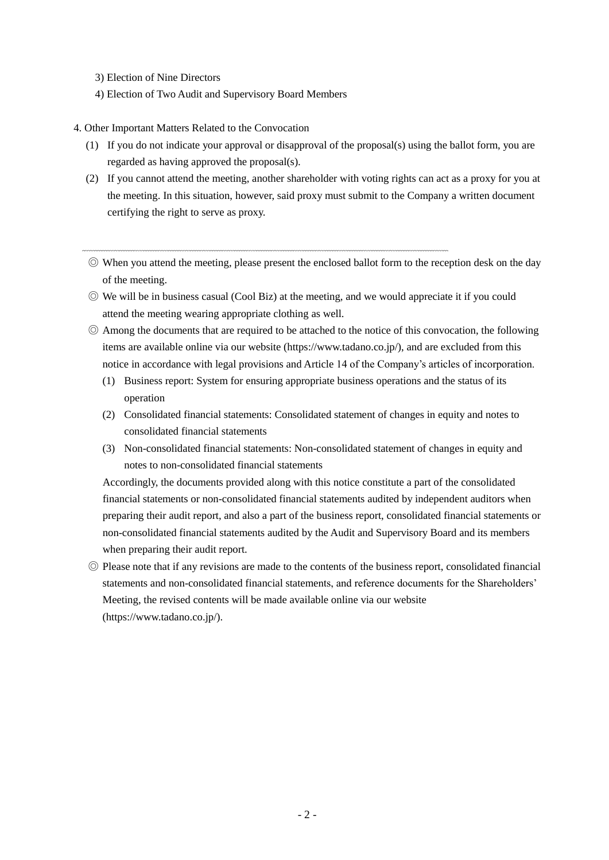3) Election of Nine Directors

- 4) Election of Two Audit and Supervisory Board Members
- 4. Other Important Matters Related to the Convocation
	- (1) If you do not indicate your approval or disapproval of the proposal(s) using the ballot form, you are regarded as having approved the proposal(s).
	- (2) If you cannot attend the meeting, another shareholder with voting rights can act as a proxy for you at the meeting. In this situation, however, said proxy must submit to the Company a written document certifying the right to serve as proxy.
	- ◎ When you attend the meeting, please present the enclosed ballot form to the reception desk on the day of the meeting.
	- ◎ We will be in business casual (Cool Biz) at the meeting, and we would appreciate it if you could attend the meeting wearing appropriate clothing as well.
	- ◎ Among the documents that are required to be attached to the notice of this convocation, the following items are available online via our website (https://www.tadano.co.jp/), and are excluded from this notice in accordance with legal provisions and Article 14 of the Company's articles of incorporation.
		- (1) Business report: System for ensuring appropriate business operations and the status of its operation
		- (2) Consolidated financial statements: Consolidated statement of changes in equity and notes to consolidated financial statements
		- (3) Non-consolidated financial statements: Non-consolidated statement of changes in equity and notes to non-consolidated financial statements

Accordingly, the documents provided along with this notice constitute a part of the consolidated financial statements or non-consolidated financial statements audited by independent auditors when preparing their audit report, and also a part of the business report, consolidated financial statements or non-consolidated financial statements audited by the Audit and Supervisory Board and its members when preparing their audit report.

◎ Please note that if any revisions are made to the contents of the business report, consolidated financial statements and non-consolidated financial statements, and reference documents for the Shareholders' Meeting, the revised contents will be made available online via our website (https://www.tadano.co.jp/).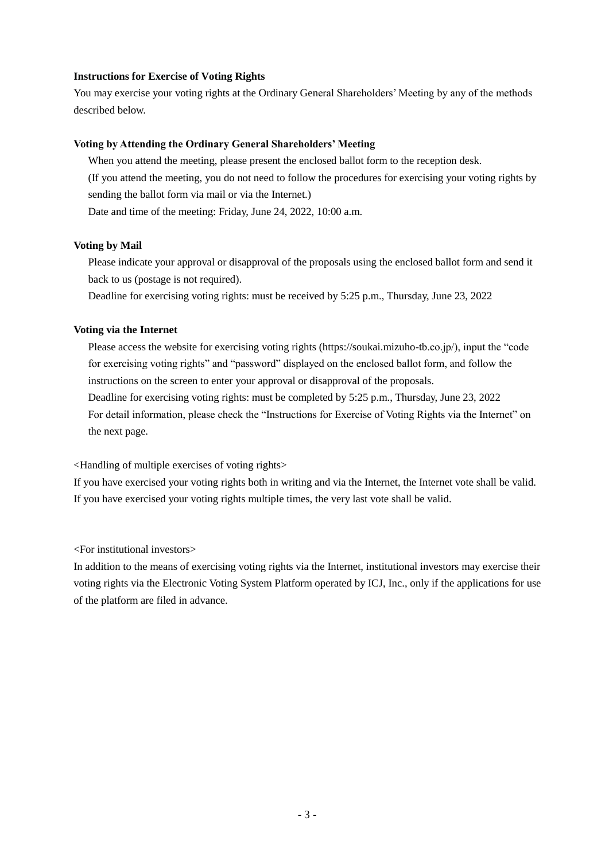# **Instructions for Exercise of Voting Rights**

You may exercise your voting rights at the Ordinary General Shareholders' Meeting by any of the methods described below.

# **Voting by Attending the Ordinary General Shareholders' Meeting**

When you attend the meeting, please present the enclosed ballot form to the reception desk. (If you attend the meeting, you do not need to follow the procedures for exercising your voting rights by sending the ballot form via mail or via the Internet.) Date and time of the meeting: Friday, June 24, 2022, 10:00 a.m.

## **Voting by Mail**

Please indicate your approval or disapproval of the proposals using the enclosed ballot form and send it back to us (postage is not required).

Deadline for exercising voting rights: must be received by 5:25 p.m., Thursday, June 23, 2022

## **Voting via the Internet**

Please access the website for exercising voting rights (https://soukai.mizuho-tb.co.jp/), input the "code for exercising voting rights" and "password" displayed on the enclosed ballot form, and follow the instructions on the screen to enter your approval or disapproval of the proposals.

Deadline for exercising voting rights: must be completed by 5:25 p.m., Thursday, June 23, 2022 For detail information, please check the "Instructions for Exercise of Voting Rights via the Internet" on the next page.

<Handling of multiple exercises of voting rights>

If you have exercised your voting rights both in writing and via the Internet, the Internet vote shall be valid. If you have exercised your voting rights multiple times, the very last vote shall be valid.

<For institutional investors>

In addition to the means of exercising voting rights via the Internet, institutional investors may exercise their voting rights via the Electronic Voting System Platform operated by ICJ, Inc., only if the applications for use of the platform are filed in advance.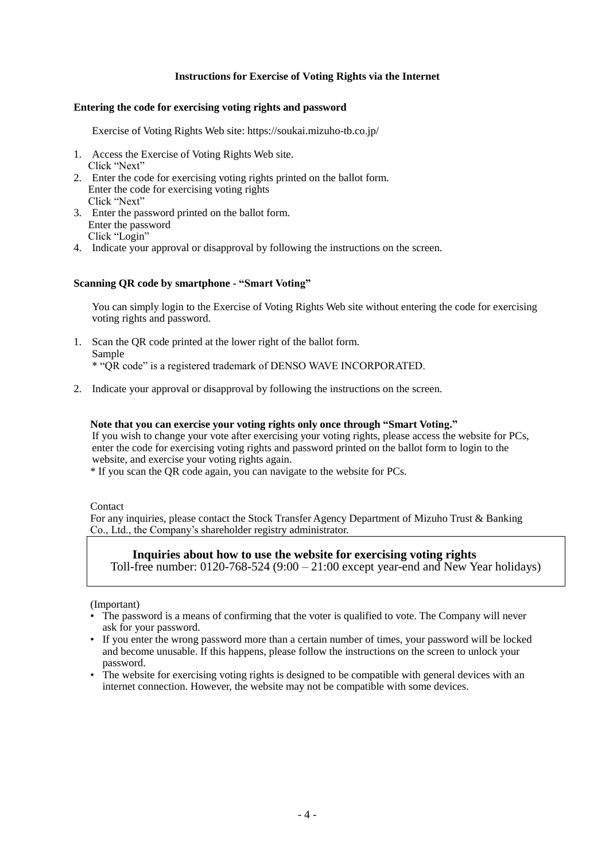# **Instructions for Exercise of Voting Rights via the Internet**

### **Entering the code for exercising voting rights and password**

Exercise of Voting Rights Web site: https://soukai.mizuho-tb.co.jp/

- 1. Access the Exercise of Voting Rights Web site. Click "Next"
- 2. Enter the code for exercising voting rights printed on the ballot form. Enter the code for exercising voting rights Click "Next"
- 3. Enter the password printed on the ballot form. Enter the password Click "Login"
- 4. Indicate your approval or disapproval by following the instructions on the screen.

#### **Scanning QR code by smartphone - "Smart Voting"**

You can simply login to the Exercise of Voting Rights Web site without entering the code for exercising voting rights and password.

- 1. Scan the QR code printed at the lower right of the ballot form. Sample \* "QR code" is a registered trademark of DENSO WAVE INCORPORATED.
- 2. Indicate your approval or disapproval by following the instructions on the screen.

#### **Note that you can exercise your voting rights only once through "Smart Voting."**

If you wish to change your vote after exercising your voting rights, please access the website for PCs, enter the code for exercising voting rights and password printed on the ballot form to login to the website, and exercise your voting rights again.

\* If you scan the QR code again, you can navigate to the website for PCs.

Contact

For any inquiries, please contact the Stock Transfer Agency Department of Mizuho Trust & Banking Co., Ltd., the Company's shareholder registry administrator.

# **Inquiries about how to use the website for exercising voting rights**

Toll-free number: 0120-768-524 (9:00 – 21:00 except year-end and New Year holidays)

(Important)

- The password is a means of confirming that the voter is qualified to vote. The Company will never ask for your password.
- If you enter the wrong password more than a certain number of times, your password will be locked and become unusable. If this happens, please follow the instructions on the screen to unlock your password.
- The website for exercising voting rights is designed to be compatible with general devices with an internet connection. However, the website may not be compatible with some devices.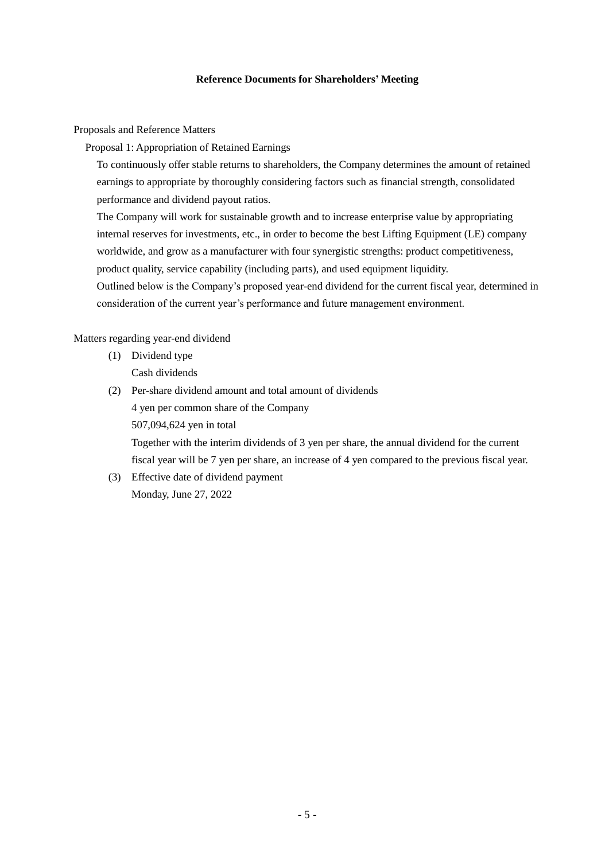# **Reference Documents for Shareholders' Meeting**

Proposals and Reference Matters

Proposal 1: Appropriation of Retained Earnings

To continuously offer stable returns to shareholders, the Company determines the amount of retained earnings to appropriate by thoroughly considering factors such as financial strength, consolidated performance and dividend payout ratios.

The Company will work for sustainable growth and to increase enterprise value by appropriating internal reserves for investments, etc., in order to become the best Lifting Equipment (LE) company worldwide, and grow as a manufacturer with four synergistic strengths: product competitiveness, product quality, service capability (including parts), and used equipment liquidity.

Outlined below is the Company's proposed year-end dividend for the current fiscal year, determined in consideration of the current year's performance and future management environment.

Matters regarding year-end dividend

- (1) Dividend type
	- Cash dividends
- (2) Per-share dividend amount and total amount of dividends 4 yen per common share of the Company 507,094,624 yen in total

Together with the interim dividends of 3 yen per share, the annual dividend for the current fiscal year will be 7 yen per share, an increase of 4 yen compared to the previous fiscal year.

(3) Effective date of dividend payment Monday, June 27, 2022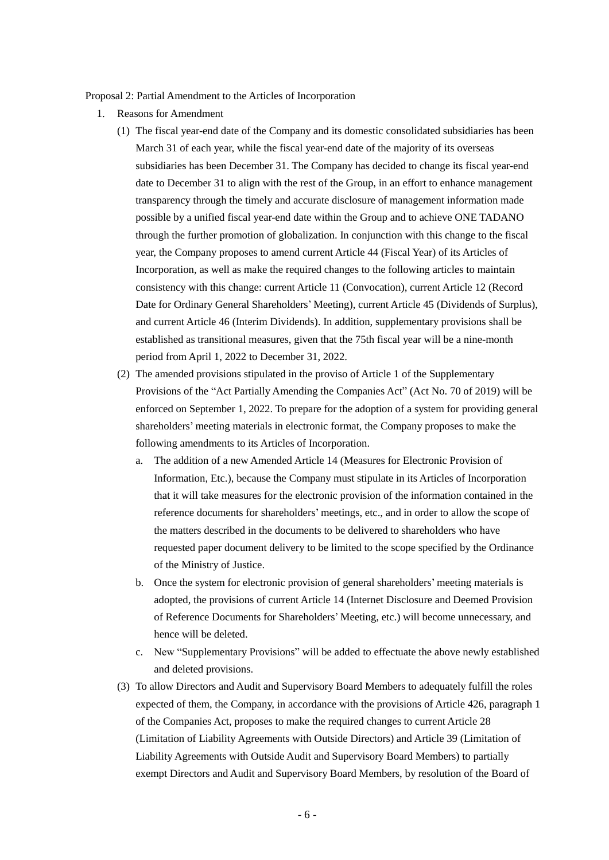Proposal 2: Partial Amendment to the Articles of Incorporation

- 1. Reasons for Amendment
	- (1) The fiscal year-end date of the Company and its domestic consolidated subsidiaries has been March 31 of each year, while the fiscal year-end date of the majority of its overseas subsidiaries has been December 31. The Company has decided to change its fiscal year-end date to December 31 to align with the rest of the Group, in an effort to enhance management transparency through the timely and accurate disclosure of management information made possible by a unified fiscal year-end date within the Group and to achieve ONE TADANO through the further promotion of globalization. In conjunction with this change to the fiscal year, the Company proposes to amend current Article 44 (Fiscal Year) of its Articles of Incorporation, as well as make the required changes to the following articles to maintain consistency with this change: current Article 11 (Convocation), current Article 12 (Record Date for Ordinary General Shareholders' Meeting), current Article 45 (Dividends of Surplus), and current Article 46 (Interim Dividends). In addition, supplementary provisions shall be established as transitional measures, given that the 75th fiscal year will be a nine-month period from April 1, 2022 to December 31, 2022.
	- (2) The amended provisions stipulated in the proviso of Article 1 of the Supplementary Provisions of the "Act Partially Amending the Companies Act" (Act No. 70 of 2019) will be enforced on September 1, 2022. To prepare for the adoption of a system for providing general shareholders' meeting materials in electronic format, the Company proposes to make the following amendments to its Articles of Incorporation.
		- a. The addition of a new Amended Article 14 (Measures for Electronic Provision of Information, Etc.), because the Company must stipulate in its Articles of Incorporation that it will take measures for the electronic provision of the information contained in the reference documents for shareholders' meetings, etc., and in order to allow the scope of the matters described in the documents to be delivered to shareholders who have requested paper document delivery to be limited to the scope specified by the Ordinance of the Ministry of Justice.
		- b. Once the system for electronic provision of general shareholders' meeting materials is adopted, the provisions of current Article 14 (Internet Disclosure and Deemed Provision of Reference Documents for Shareholders' Meeting, etc.) will become unnecessary, and hence will be deleted.
		- c. New "Supplementary Provisions" will be added to effectuate the above newly established and deleted provisions.
	- (3) To allow Directors and Audit and Supervisory Board Members to adequately fulfill the roles expected of them, the Company, in accordance with the provisions of Article 426, paragraph 1 of the Companies Act, proposes to make the required changes to current Article 28 (Limitation of Liability Agreements with Outside Directors) and Article 39 (Limitation of Liability Agreements with Outside Audit and Supervisory Board Members) to partially exempt Directors and Audit and Supervisory Board Members, by resolution of the Board of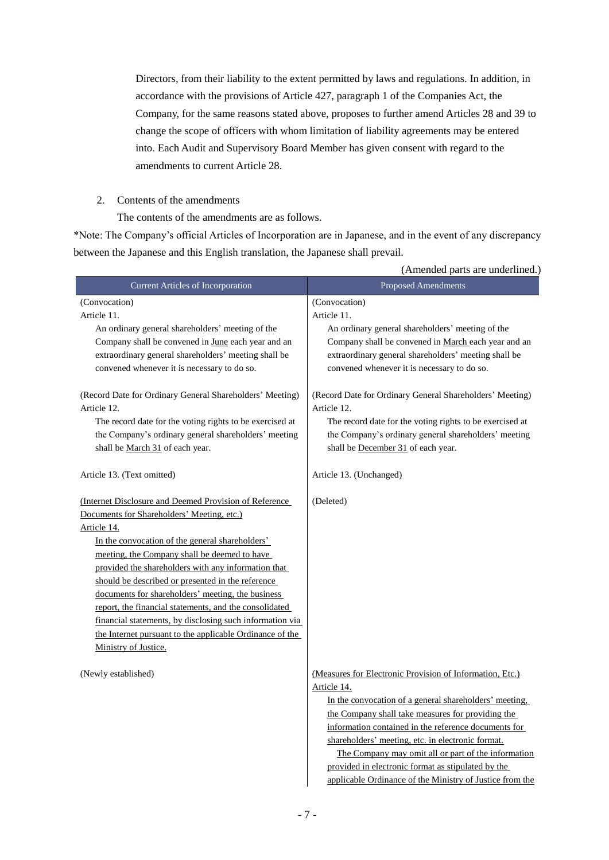Directors, from their liability to the extent permitted by laws and regulations. In addition, in accordance with the provisions of Article 427, paragraph 1 of the Companies Act, the Company, for the same reasons stated above, proposes to further amend Articles 28 and 39 to change the scope of officers with whom limitation of liability agreements may be entered into. Each Audit and Supervisory Board Member has given consent with regard to the amendments to current Article 28.

2. Contents of the amendments

The contents of the amendments are as follows.

\*Note: The Company's official Articles of Incorporation are in Japanese, and in the event of any discrepancy between the Japanese and this English translation, the Japanese shall prevail.

|                                                          | (Amended parts are underlined.)                          |  |  |
|----------------------------------------------------------|----------------------------------------------------------|--|--|
| <b>Current Articles of Incorporation</b>                 | Proposed Amendments                                      |  |  |
| (Convocation)                                            | (Convocation)                                            |  |  |
| Article 11.                                              | Article 11.                                              |  |  |
| An ordinary general shareholders' meeting of the         | An ordinary general shareholders' meeting of the         |  |  |
| Company shall be convened in June each year and an       | Company shall be convened in March each year and an      |  |  |
| extraordinary general shareholders' meeting shall be     | extraordinary general shareholders' meeting shall be     |  |  |
| convened whenever it is necessary to do so.              | convened whenever it is necessary to do so.              |  |  |
| (Record Date for Ordinary General Shareholders' Meeting) | (Record Date for Ordinary General Shareholders' Meeting) |  |  |
| Article 12.                                              | Article 12.                                              |  |  |
| The record date for the voting rights to be exercised at | The record date for the voting rights to be exercised at |  |  |
| the Company's ordinary general shareholders' meeting     | the Company's ordinary general shareholders' meeting     |  |  |
| shall be March 31 of each year.                          | shall be December 31 of each year.                       |  |  |
| Article 13. (Text omitted)                               | Article 13. (Unchanged)                                  |  |  |
| (Internet Disclosure and Deemed Provision of Reference)  | (Deleted)                                                |  |  |
| Documents for Shareholders' Meeting, etc.)               |                                                          |  |  |
| Article 14.                                              |                                                          |  |  |
| In the convocation of the general shareholders'          |                                                          |  |  |
| meeting, the Company shall be deemed to have             |                                                          |  |  |
| provided the shareholders with any information that      |                                                          |  |  |
| should be described or presented in the reference        |                                                          |  |  |
| documents for shareholders' meeting, the business        |                                                          |  |  |
| report, the financial statements, and the consolidated   |                                                          |  |  |
| financial statements, by disclosing such information via |                                                          |  |  |
| the Internet pursuant to the applicable Ordinance of the |                                                          |  |  |
| Ministry of Justice.                                     |                                                          |  |  |
| (Newly established)                                      | (Measures for Electronic Provision of Information, Etc.) |  |  |
|                                                          | Article 14.                                              |  |  |
|                                                          | In the convocation of a general shareholders' meeting,   |  |  |
|                                                          | the Company shall take measures for providing the        |  |  |
|                                                          | information contained in the reference documents for     |  |  |
|                                                          | shareholders' meeting, etc. in electronic format.        |  |  |
|                                                          | The Company may omit all or part of the information      |  |  |
|                                                          | provided in electronic format as stipulated by the       |  |  |
|                                                          | applicable Ordinance of the Ministry of Justice from the |  |  |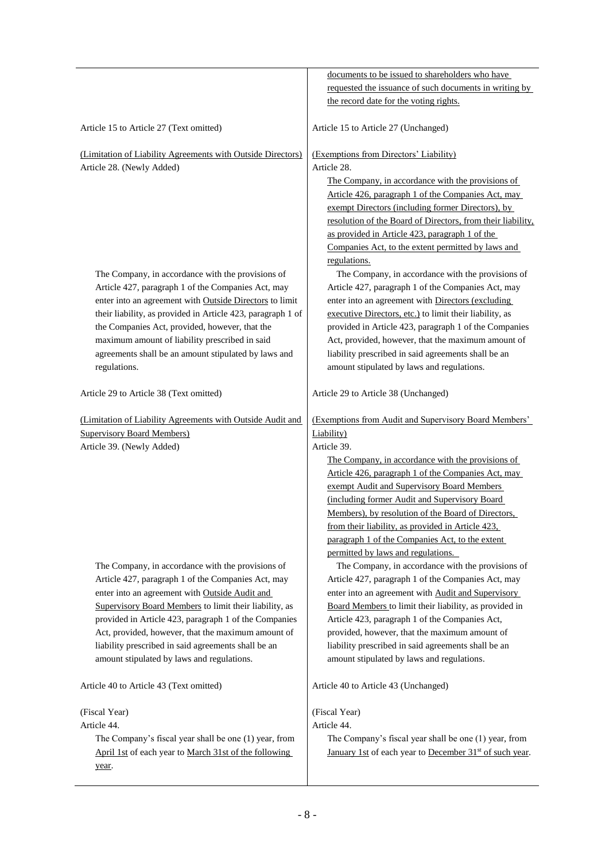|                                                             | documents to be issued to shareholders who have                     |
|-------------------------------------------------------------|---------------------------------------------------------------------|
|                                                             | requested the issuance of such documents in writing by              |
|                                                             | the record date for the voting rights.                              |
|                                                             |                                                                     |
| Article 15 to Article 27 (Text omitted)                     | Article 15 to Article 27 (Unchanged)                                |
| (Limitation of Liability Agreements with Outside Directors) | (Exemptions from Directors' Liability)                              |
| Article 28. (Newly Added)                                   | Article 28.                                                         |
|                                                             | The Company, in accordance with the provisions of                   |
|                                                             | Article 426, paragraph 1 of the Companies Act, may                  |
|                                                             | exempt Directors (including former Directors), by                   |
|                                                             | resolution of the Board of Directors, from their liability,         |
|                                                             | as provided in Article 423, paragraph 1 of the                      |
|                                                             | Companies Act, to the extent permitted by laws and                  |
|                                                             | regulations.                                                        |
| The Company, in accordance with the provisions of           | The Company, in accordance with the provisions of                   |
| Article 427, paragraph 1 of the Companies Act, may          | Article 427, paragraph 1 of the Companies Act, may                  |
| enter into an agreement with Outside Directors to limit     | enter into an agreement with Directors (excluding                   |
| their liability, as provided in Article 423, paragraph 1 of | executive Directors, etc.) to limit their liability, as             |
| the Companies Act, provided, however, that the              | provided in Article 423, paragraph 1 of the Companies               |
| maximum amount of liability prescribed in said              | Act, provided, however, that the maximum amount of                  |
| agreements shall be an amount stipulated by laws and        | liability prescribed in said agreements shall be an                 |
| regulations.                                                | amount stipulated by laws and regulations.                          |
|                                                             |                                                                     |
| Article 29 to Article 38 (Text omitted)                     | Article 29 to Article 38 (Unchanged)                                |
| (Limitation of Liability Agreements with Outside Audit and  | (Exemptions from Audit and Supervisory Board Members'               |
| <b>Supervisory Board Members)</b>                           | Liability)                                                          |
| Article 39. (Newly Added)                                   | Article 39.                                                         |
|                                                             | The Company, in accordance with the provisions of                   |
|                                                             | Article 426, paragraph 1 of the Companies Act, may                  |
|                                                             | exempt Audit and Supervisory Board Members                          |
|                                                             | (including former Audit and Supervisory Board                       |
|                                                             | Members), by resolution of the Board of Directors,                  |
|                                                             | from their liability, as provided in Article 423,                   |
|                                                             | paragraph 1 of the Companies Act, to the extent                     |
|                                                             |                                                                     |
|                                                             | permitted by laws and regulations.                                  |
| The Company, in accordance with the provisions of           | The Company, in accordance with the provisions of                   |
| Article 427, paragraph 1 of the Companies Act, may          | Article 427, paragraph 1 of the Companies Act, may                  |
| enter into an agreement with Outside Audit and              | enter into an agreement with Audit and Supervisory                  |
| Supervisory Board Members to limit their liability, as      | Board Members to limit their liability, as provided in              |
| provided in Article 423, paragraph 1 of the Companies       | Article 423, paragraph 1 of the Companies Act,                      |
| Act, provided, however, that the maximum amount of          | provided, however, that the maximum amount of                       |
| liability prescribed in said agreements shall be an         | liability prescribed in said agreements shall be an                 |
| amount stipulated by laws and regulations.                  | amount stipulated by laws and regulations.                          |
| Article 40 to Article 43 (Text omitted)                     | Article 40 to Article 43 (Unchanged)                                |
| (Fiscal Year)                                               | (Fiscal Year)                                                       |
| Article 44.                                                 | Article 44.                                                         |
| The Company's fiscal year shall be one (1) year, from       | The Company's fiscal year shall be one (1) year, from               |
| April 1st of each year to March 31st of the following       | January 1st of each year to December 31 <sup>st</sup> of such year. |
|                                                             |                                                                     |
| year.                                                       |                                                                     |
|                                                             |                                                                     |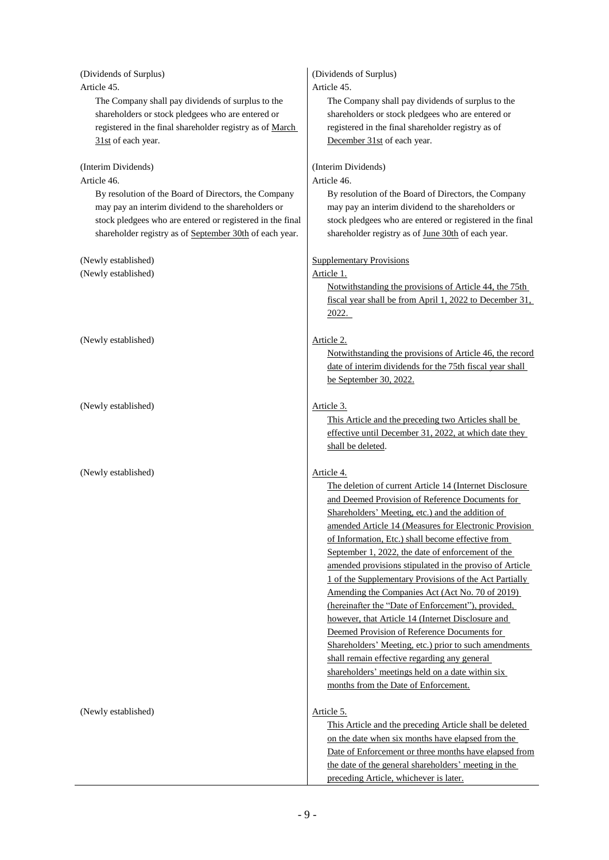| (Dividends of Surplus)<br>Article 45.<br>The Company shall pay dividends of surplus to the | (Dividends of Surplus)<br>Article 45.<br>The Company shall pay dividends of surplus to the |
|--------------------------------------------------------------------------------------------|--------------------------------------------------------------------------------------------|
| shareholders or stock pledgees who are entered or                                          | shareholders or stock pledgees who are entered or                                          |
| registered in the final shareholder registry as of March                                   | registered in the final shareholder registry as of                                         |
| 31st of each year.                                                                         | December 31st of each year.                                                                |
|                                                                                            |                                                                                            |
| (Interim Dividends)<br>Article 46.                                                         | (Interim Dividends)<br>Article 46.                                                         |
| By resolution of the Board of Directors, the Company                                       | By resolution of the Board of Directors, the Company                                       |
| may pay an interim dividend to the shareholders or                                         | may pay an interim dividend to the shareholders or                                         |
| stock pledgees who are entered or registered in the final                                  | stock pledgees who are entered or registered in the final                                  |
| shareholder registry as of September 30th of each year.                                    | shareholder registry as of June 30th of each year.                                         |
|                                                                                            |                                                                                            |
| (Newly established)                                                                        | <b>Supplementary Provisions</b>                                                            |
| (Newly established)                                                                        | Article 1.                                                                                 |
|                                                                                            | Notwithstanding the provisions of Article 44, the 75th                                     |
|                                                                                            | fiscal year shall be from April 1, 2022 to December 31,                                    |
|                                                                                            | 2022.                                                                                      |
|                                                                                            |                                                                                            |
| (Newly established)                                                                        | Article 2.                                                                                 |
|                                                                                            | Notwithstanding the provisions of Article 46, the record                                   |
|                                                                                            | date of interim dividends for the 75th fiscal year shall                                   |
|                                                                                            | be September 30, 2022.                                                                     |
|                                                                                            |                                                                                            |
| (Newly established)                                                                        | Article 3.                                                                                 |
|                                                                                            | This Article and the preceding two Articles shall be                                       |
|                                                                                            | effective until December 31, 2022, at which date they                                      |
|                                                                                            | shall be deleted.                                                                          |
|                                                                                            |                                                                                            |
| (Newly established)                                                                        | Article 4.                                                                                 |
|                                                                                            | The deletion of current Article 14 (Internet Disclosure                                    |
|                                                                                            | and Deemed Provision of Reference Documents for                                            |
|                                                                                            | Shareholders' Meeting, etc.) and the addition of                                           |
|                                                                                            | amended Article 14 (Measures for Electronic Provision                                      |
|                                                                                            | of Information, Etc.) shall become effective from                                          |
|                                                                                            | September 1, 2022, the date of enforcement of the                                          |
|                                                                                            | amended provisions stipulated in the proviso of Article                                    |
|                                                                                            | 1 of the Supplementary Provisions of the Act Partially                                     |
|                                                                                            | Amending the Companies Act (Act No. 70 of 2019)                                            |
|                                                                                            | (hereinafter the "Date of Enforcement"), provided,                                         |
|                                                                                            | however, that Article 14 (Internet Disclosure and                                          |
|                                                                                            | Deemed Provision of Reference Documents for                                                |
|                                                                                            | Shareholders' Meeting, etc.) prior to such amendments                                      |
|                                                                                            | shall remain effective regarding any general                                               |
|                                                                                            | shareholders' meetings held on a date within six                                           |
|                                                                                            | months from the Date of Enforcement.                                                       |
|                                                                                            |                                                                                            |
| (Newly established)                                                                        | Article 5.                                                                                 |
|                                                                                            | This Article and the preceding Article shall be deleted                                    |
|                                                                                            | on the date when six months have elapsed from the                                          |
|                                                                                            | Date of Enforcement or three months have elapsed from                                      |
|                                                                                            | the date of the general shareholders' meeting in the                                       |
|                                                                                            | preceding Article, whichever is later.                                                     |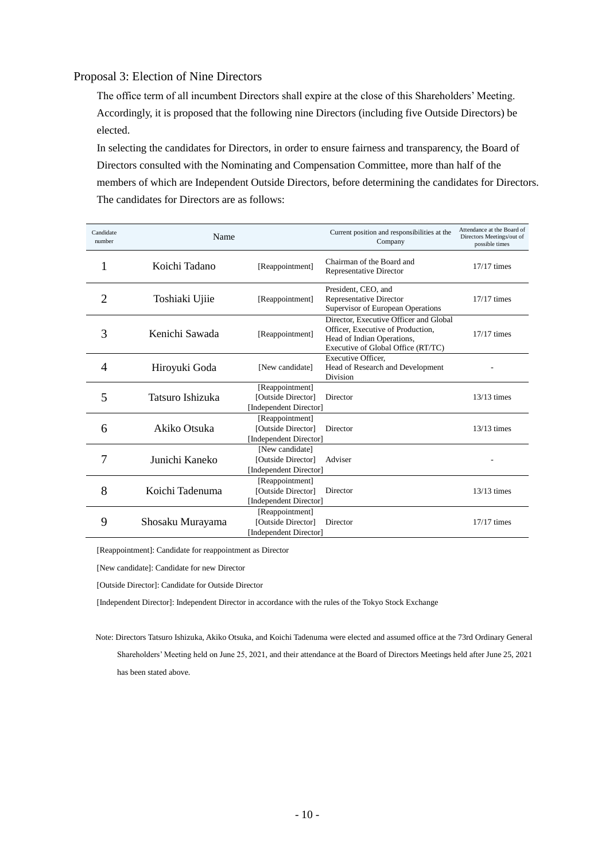# Proposal 3: Election of Nine Directors

The office term of all incumbent Directors shall expire at the close of this Shareholders' Meeting. Accordingly, it is proposed that the following nine Directors (including five Outside Directors) be elected.

In selecting the candidates for Directors, in order to ensure fairness and transparency, the Board of Directors consulted with the Nominating and Compensation Committee, more than half of the members of which are Independent Outside Directors, before determining the candidates for Directors. The candidates for Directors are as follows:

| Candidate<br>number | Name             |                                                                 | Current position and responsibilities at the<br>Company                                                                                         | Attendance at the Board of<br>Directors Meetings/out of<br>possible times |
|---------------------|------------------|-----------------------------------------------------------------|-------------------------------------------------------------------------------------------------------------------------------------------------|---------------------------------------------------------------------------|
| 1                   | Koichi Tadano    | [Reappointment]                                                 | Chairman of the Board and<br><b>Representative Director</b>                                                                                     | $17/17$ times                                                             |
| 2                   | Toshiaki Ujiie   | [Reappointment]                                                 | President, CEO, and<br><b>Representative Director</b><br>Supervisor of European Operations                                                      | $17/17$ times                                                             |
| 3                   | Kenichi Sawada   | [Reappointment]                                                 | Director, Executive Officer and Global<br>Officer, Executive of Production,<br>Head of Indian Operations,<br>Executive of Global Office (RT/TC) | 17/17 times                                                               |
| $\overline{A}$      | Hiroyuki Goda    | [New candidate]                                                 | Executive Officer.<br>Head of Research and Development<br>Division                                                                              |                                                                           |
| 5                   | Tatsuro Ishizuka | [Reappointment]<br>[Outside Director]<br>[Independent Director] | Director                                                                                                                                        | $13/13$ times                                                             |
| 6                   | Akiko Otsuka     | [Reappointment]<br>[Outside Director]<br>[Independent Director] | Director                                                                                                                                        | $13/13$ times                                                             |
| 7                   | Junichi Kaneko   | [New candidate]<br>[Outside Director]<br>[Independent Director] | Adviser                                                                                                                                         |                                                                           |
| 8                   | Koichi Tadenuma  | [Reappointment]<br>[Outside Director]<br>[Independent Director] | Director                                                                                                                                        | $13/13$ times                                                             |
| 9                   | Shosaku Murayama | [Reappointment]<br>[Outside Director]<br>[Independent Director] | Director                                                                                                                                        | $17/17$ times                                                             |

[Reappointment]: Candidate for reappointment as Director

[New candidate]: Candidate for new Director

[Outside Director]: Candidate for Outside Director

[Independent Director]: Independent Director in accordance with the rules of the Tokyo Stock Exchange

Note: Directors Tatsuro Ishizuka, Akiko Otsuka, and Koichi Tadenuma were elected and assumed office at the 73rd Ordinary General Shareholders' Meeting held on June 25, 2021, and their attendance at the Board of Directors Meetings held after June 25, 2021 has been stated above.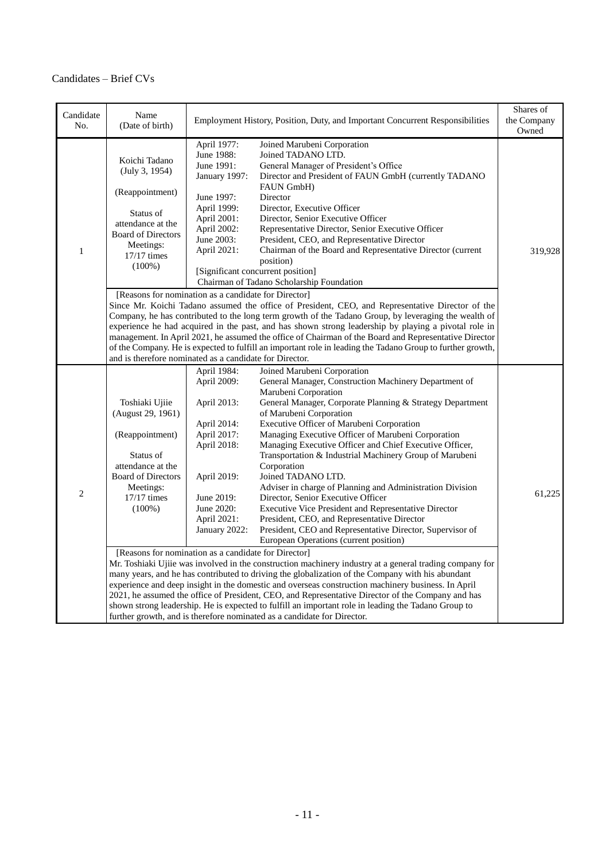# Candidates – Brief CVs

| Candidate<br>No. | Name<br>(Date of birth)                                                                                                                                                                                                                                                                                                                                                                                                                                                                                                                                                                                                                                    |                                                                                                                                                                   | Employment History, Position, Duty, and Important Concurrent Responsibilities                                                                                                                                                                                                                                                                                                                                                                                                                                                                                                                                                                                                                                                                                                                                                                                                                                                                                                                                                                                                                                                                                                                                                                                                                                        | Shares of<br>the Company<br>Owned |  |
|------------------|------------------------------------------------------------------------------------------------------------------------------------------------------------------------------------------------------------------------------------------------------------------------------------------------------------------------------------------------------------------------------------------------------------------------------------------------------------------------------------------------------------------------------------------------------------------------------------------------------------------------------------------------------------|-------------------------------------------------------------------------------------------------------------------------------------------------------------------|----------------------------------------------------------------------------------------------------------------------------------------------------------------------------------------------------------------------------------------------------------------------------------------------------------------------------------------------------------------------------------------------------------------------------------------------------------------------------------------------------------------------------------------------------------------------------------------------------------------------------------------------------------------------------------------------------------------------------------------------------------------------------------------------------------------------------------------------------------------------------------------------------------------------------------------------------------------------------------------------------------------------------------------------------------------------------------------------------------------------------------------------------------------------------------------------------------------------------------------------------------------------------------------------------------------------|-----------------------------------|--|
| $\mathbf{1}$     | Koichi Tadano<br>(July 3, 1954)<br>(Reappointment)<br>Status of<br>attendance at the<br><b>Board of Directors</b><br>Meetings:<br>$17/17$ times<br>$(100\%)$                                                                                                                                                                                                                                                                                                                                                                                                                                                                                               | April 1977:<br>June 1988:<br>June 1991:<br>January 1997:<br>June 1997:<br>April 1999:<br>April 2001:<br>April 2002:<br>June 2003:<br>April 2021:                  | Joined Marubeni Corporation<br>Joined TADANO LTD.<br>General Manager of President's Office<br>Director and President of FAUN GmbH (currently TADANO<br>FAUN GmbH)<br>Director<br>Director, Executive Officer<br>Director, Senior Executive Officer<br>Representative Director, Senior Executive Officer<br>President, CEO, and Representative Director<br>Chairman of the Board and Representative Director (current<br>position)<br>[Significant concurrent position]<br>Chairman of Tadano Scholarship Foundation                                                                                                                                                                                                                                                                                                                                                                                                                                                                                                                                                                                                                                                                                                                                                                                                  | 319,928                           |  |
|                  | [Reasons for nomination as a candidate for Director]<br>Since Mr. Koichi Tadano assumed the office of President, CEO, and Representative Director of the<br>Company, he has contributed to the long term growth of the Tadano Group, by leveraging the wealth of<br>experience he had acquired in the past, and has shown strong leadership by playing a pivotal role in<br>management. In April 2021, he assumed the office of Chairman of the Board and Representative Director<br>of the Company. He is expected to fulfill an important role in leading the Tadano Group to further growth,<br>and is therefore nominated as a candidate for Director. |                                                                                                                                                                   |                                                                                                                                                                                                                                                                                                                                                                                                                                                                                                                                                                                                                                                                                                                                                                                                                                                                                                                                                                                                                                                                                                                                                                                                                                                                                                                      |                                   |  |
| $\overline{2}$   | Toshiaki Ujiie<br>(August 29, 1961)<br>(Reappointment)<br>Status of<br>attendance at the<br><b>Board of Directors</b><br>Meetings:<br>17/17 times<br>$(100\%)$<br>[Reasons for nomination as a candidate for Director]                                                                                                                                                                                                                                                                                                                                                                                                                                     | April 1984:<br>April 2009:<br>April 2013:<br>April 2014:<br>April 2017:<br>April 2018:<br>April 2019:<br>June 2019:<br>June 2020:<br>April 2021:<br>January 2022: | Joined Marubeni Corporation<br>General Manager, Construction Machinery Department of<br>Marubeni Corporation<br>General Manager, Corporate Planning & Strategy Department<br>of Marubeni Corporation<br>Executive Officer of Marubeni Corporation<br>Managing Executive Officer of Marubeni Corporation<br>Managing Executive Officer and Chief Executive Officer,<br>Transportation & Industrial Machinery Group of Marubeni<br>Corporation<br>Joined TADANO LTD.<br>Adviser in charge of Planning and Administration Division<br>Director, Senior Executive Officer<br>Executive Vice President and Representative Director<br>President, CEO, and Representative Director<br>President, CEO and Representative Director, Supervisor of<br>European Operations (current position)<br>Mr. Toshiaki Ujiie was involved in the construction machinery industry at a general trading company for<br>many years, and he has contributed to driving the globalization of the Company with his abundant<br>experience and deep insight in the domestic and overseas construction machinery business. In April<br>2021, he assumed the office of President, CEO, and Representative Director of the Company and has<br>shown strong leadership. He is expected to fulfill an important role in leading the Tadano Group to | 61,225                            |  |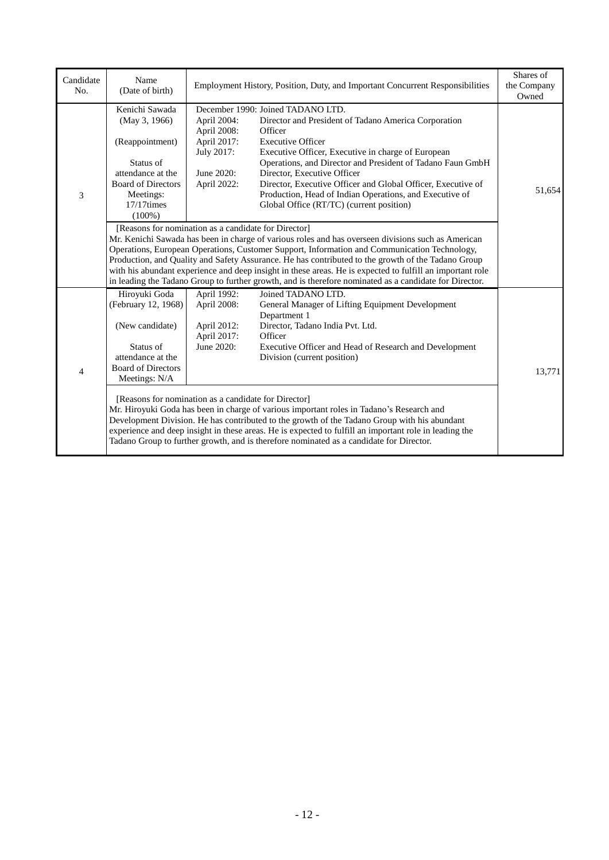| Candidate<br>No. | Name<br>(Date of birth)                                                                                                                                                                                                                                                                                                                                                                                                                                                                                                                                                                 |                                                                                      | Employment History, Position, Duty, and Important Concurrent Responsibilities                                                                                                                                                                                                                                                                                                                                                                              | Shares of<br>the Company<br>Owned |  |
|------------------|-----------------------------------------------------------------------------------------------------------------------------------------------------------------------------------------------------------------------------------------------------------------------------------------------------------------------------------------------------------------------------------------------------------------------------------------------------------------------------------------------------------------------------------------------------------------------------------------|--------------------------------------------------------------------------------------|------------------------------------------------------------------------------------------------------------------------------------------------------------------------------------------------------------------------------------------------------------------------------------------------------------------------------------------------------------------------------------------------------------------------------------------------------------|-----------------------------------|--|
| 3                | Kenichi Sawada<br>(May 3, 1966)<br>(Reappointment)<br>Status of<br>attendance at the<br><b>Board of Directors</b><br>Meetings:<br>$17/17$ times<br>$(100\%)$                                                                                                                                                                                                                                                                                                                                                                                                                            | April 2004:<br>April 2008:<br>April 2017:<br>July 2017:<br>June 2020:<br>April 2022: | December 1990: Joined TADANO LTD.<br>Director and President of Tadano America Corporation<br>Officer<br><b>Executive Officer</b><br>Executive Officer, Executive in charge of European<br>Operations, and Director and President of Tadano Faun GmbH<br>Director, Executive Officer<br>Director, Executive Officer and Global Officer, Executive of<br>Production, Head of Indian Operations, and Executive of<br>Global Office (RT/TC) (current position) | 51,654                            |  |
|                  | [Reasons for nomination as a candidate for Director]<br>Mr. Kenichi Sawada has been in charge of various roles and has overseen divisions such as American<br>Operations, European Operations, Customer Support, Information and Communication Technology,<br>Production, and Quality and Safety Assurance. He has contributed to the growth of the Tadano Group<br>with his abundant experience and deep insight in these areas. He is expected to fulfill an important role<br>in leading the Tadano Group to further growth, and is therefore nominated as a candidate for Director. |                                                                                      |                                                                                                                                                                                                                                                                                                                                                                                                                                                            |                                   |  |
| $\overline{4}$   | Hiroyuki Goda<br>(February 12, 1968)<br>(New candidate)<br>Status of<br>attendance at the<br><b>Board of Directors</b><br>Meetings: N/A                                                                                                                                                                                                                                                                                                                                                                                                                                                 | April 1992:<br>April 2008:<br>April 2012:<br>April 2017:<br>June 2020:               | Joined TADANO LTD.<br>General Manager of Lifting Equipment Development<br>Department 1<br>Director, Tadano India Pvt. Ltd.<br>Officer<br>Executive Officer and Head of Research and Development<br>Division (current position)                                                                                                                                                                                                                             | 13,771                            |  |
|                  | [Reasons for nomination as a candidate for Director]<br>Mr. Hiroyuki Goda has been in charge of various important roles in Tadano's Research and<br>Development Division. He has contributed to the growth of the Tadano Group with his abundant<br>experience and deep insight in these areas. He is expected to fulfill an important role in leading the<br>Tadano Group to further growth, and is therefore nominated as a candidate for Director.                                                                                                                                   |                                                                                      |                                                                                                                                                                                                                                                                                                                                                                                                                                                            |                                   |  |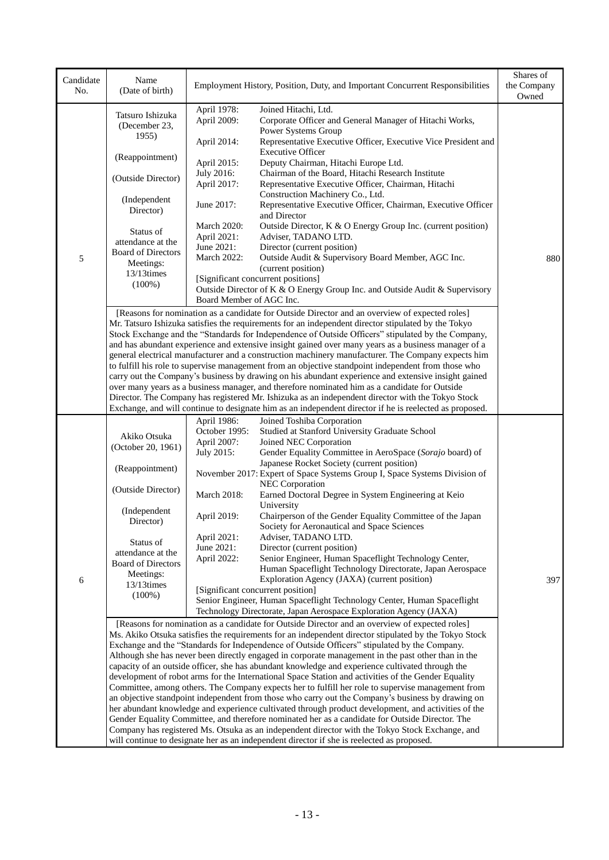| Candidate<br>No. | Name<br>(Date of birth)            |                              | Employment History, Position, Duty, and Important Concurrent Responsibilities                                                                                                                              | Shares of<br>the Company<br>Owned |
|------------------|------------------------------------|------------------------------|------------------------------------------------------------------------------------------------------------------------------------------------------------------------------------------------------------|-----------------------------------|
|                  | Tatsuro Ishizuka<br>(December 23,  | April 1978:<br>April 2009:   | Joined Hitachi, Ltd.<br>Corporate Officer and General Manager of Hitachi Works,<br>Power Systems Group                                                                                                     |                                   |
|                  | 1955)                              | April 2014:                  | Representative Executive Officer, Executive Vice President and<br><b>Executive Officer</b>                                                                                                                 |                                   |
|                  | (Reappointment)                    | April 2015:                  | Deputy Chairman, Hitachi Europe Ltd.                                                                                                                                                                       |                                   |
|                  | (Outside Director)                 | July 2016:                   | Chairman of the Board, Hitachi Research Institute                                                                                                                                                          |                                   |
|                  |                                    | April 2017:                  | Representative Executive Officer, Chairman, Hitachi<br>Construction Machinery Co., Ltd.                                                                                                                    |                                   |
|                  | (Independent<br>Director)          | June 2017:                   | Representative Executive Officer, Chairman, Executive Officer<br>and Director                                                                                                                              |                                   |
|                  | Status of                          | March 2020:                  | Outside Director, K & O Energy Group Inc. (current position)                                                                                                                                               |                                   |
|                  | attendance at the                  | April 2021:<br>June 2021:    | Adviser, TADANO LTD.                                                                                                                                                                                       |                                   |
| 5                | <b>Board of Directors</b>          | March 2022:                  | Director (current position)<br>Outside Audit & Supervisory Board Member, AGC Inc.                                                                                                                          | 880                               |
|                  | Meetings:                          |                              | (current position)                                                                                                                                                                                         |                                   |
|                  | 13/13times<br>$(100\%)$            |                              | [Significant concurrent positions]                                                                                                                                                                         |                                   |
|                  |                                    |                              | Outside Director of K & O Energy Group Inc. and Outside Audit & Supervisory                                                                                                                                |                                   |
|                  |                                    | Board Member of AGC Inc.     |                                                                                                                                                                                                            |                                   |
|                  |                                    |                              | [Reasons for nomination as a candidate for Outside Director and an overview of expected roles]<br>Mr. Tatsuro Ishizuka satisfies the requirements for an independent director stipulated by the Tokyo      |                                   |
|                  |                                    |                              | Stock Exchange and the "Standards for Independence of Outside Officers" stipulated by the Company,                                                                                                         |                                   |
|                  |                                    |                              | and has abundant experience and extensive insight gained over many years as a business manager of a                                                                                                        |                                   |
|                  |                                    |                              | general electrical manufacturer and a construction machinery manufacturer. The Company expects him                                                                                                         |                                   |
|                  |                                    |                              | to fulfill his role to supervise management from an objective standpoint independent from those who<br>carry out the Company's business by drawing on his abundant experience and extensive insight gained |                                   |
|                  |                                    |                              | over many years as a business manager, and therefore nominated him as a candidate for Outside                                                                                                              |                                   |
|                  |                                    |                              | Director. The Company has registered Mr. Ishizuka as an independent director with the Tokyo Stock                                                                                                          |                                   |
|                  |                                    |                              | Exchange, and will continue to designate him as an independent director if he is reelected as proposed.                                                                                                    |                                   |
|                  |                                    | April 1986:                  | Joined Toshiba Corporation                                                                                                                                                                                 |                                   |
|                  | Akiko Otsuka<br>(October 20, 1961) | October 1995:<br>April 2007: | Studied at Stanford University Graduate School<br>Joined NEC Corporation                                                                                                                                   |                                   |
|                  |                                    | July 2015:                   | Gender Equality Committee in AeroSpace (Sorajo board) of                                                                                                                                                   |                                   |
|                  | (Reappointment)                    |                              | Japanese Rocket Society (current position)                                                                                                                                                                 |                                   |
|                  |                                    |                              | November 2017: Expert of Space Systems Group I, Space Systems Division of                                                                                                                                  |                                   |
|                  | (Outside Director)                 | March 2018:                  | <b>NEC Corporation</b><br>Earned Doctoral Degree in System Engineering at Keio                                                                                                                             |                                   |
|                  |                                    |                              | University                                                                                                                                                                                                 |                                   |
|                  | (Independent                       | April 2019:                  | Chairperson of the Gender Equality Committee of the Japan                                                                                                                                                  |                                   |
|                  | Director)                          |                              | Society for Aeronautical and Space Sciences                                                                                                                                                                |                                   |
|                  | Status of                          | April 2021:                  | Adviser, TADANO LTD.                                                                                                                                                                                       |                                   |
|                  | attendance at the                  | June 2021:<br>April 2022:    | Director (current position)<br>Senior Engineer, Human Spaceflight Technology Center,                                                                                                                       |                                   |
|                  | <b>Board of Directors</b>          |                              | Human Spaceflight Technology Directorate, Japan Aerospace                                                                                                                                                  |                                   |
| 6                | Meetings:<br>$13/13$ times         |                              | Exploration Agency (JAXA) (current position)                                                                                                                                                               | 397                               |
|                  | $(100\%)$                          |                              | [Significant concurrent position]                                                                                                                                                                          |                                   |
|                  |                                    |                              | Senior Engineer, Human Spaceflight Technology Center, Human Spaceflight<br>Technology Directorate, Japan Aerospace Exploration Agency (JAXA)                                                               |                                   |
|                  |                                    |                              | [Reasons for nomination as a candidate for Outside Director and an overview of expected roles]                                                                                                             |                                   |
|                  |                                    |                              | Ms. Akiko Otsuka satisfies the requirements for an independent director stipulated by the Tokyo Stock                                                                                                      |                                   |
|                  |                                    |                              | Exchange and the "Standards for Independence of Outside Officers" stipulated by the Company.                                                                                                               |                                   |
|                  |                                    |                              | Although she has never been directly engaged in corporate management in the past other than in the                                                                                                         |                                   |
|                  |                                    |                              | capacity of an outside officer, she has abundant knowledge and experience cultivated through the                                                                                                           |                                   |
|                  |                                    |                              | development of robot arms for the International Space Station and activities of the Gender Equality<br>Committee, among others. The Company expects her to fulfill her role to supervise management from   |                                   |
|                  |                                    |                              | an objective standpoint independent from those who carry out the Company's business by drawing on                                                                                                          |                                   |
|                  |                                    |                              | her abundant knowledge and experience cultivated through product development, and activities of the                                                                                                        |                                   |
|                  |                                    |                              | Gender Equality Committee, and therefore nominated her as a candidate for Outside Director. The                                                                                                            |                                   |
|                  |                                    |                              | Company has registered Ms. Otsuka as an independent director with the Tokyo Stock Exchange, and<br>will continue to designate her as an independent director if she is reelected as proposed.              |                                   |
|                  |                                    |                              |                                                                                                                                                                                                            |                                   |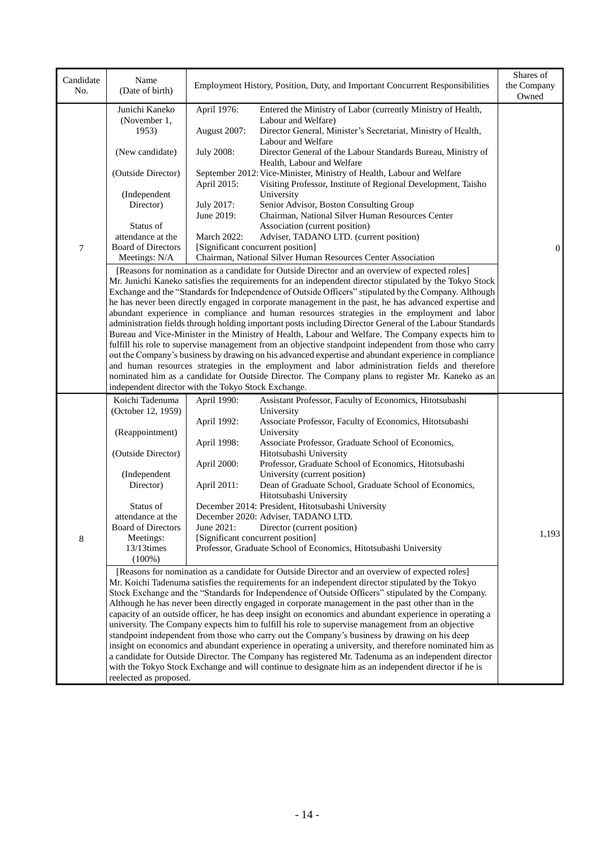| Candidate<br>No. | Name<br>(Date of birth)                                                                                                        |                    | Employment History, Position, Duty, and Important Concurrent Responsibilities                                                                                                                                | Shares of<br>the Company<br>Owned |  |  |
|------------------|--------------------------------------------------------------------------------------------------------------------------------|--------------------|--------------------------------------------------------------------------------------------------------------------------------------------------------------------------------------------------------------|-----------------------------------|--|--|
|                  | Junichi Kaneko<br>(November 1,                                                                                                 | April 1976:        | Entered the Ministry of Labor (currently Ministry of Health,<br>Labour and Welfare)                                                                                                                          |                                   |  |  |
|                  | 1953)                                                                                                                          | August 2007:       | Director General, Minister's Secretariat, Ministry of Health,<br>Labour and Welfare                                                                                                                          |                                   |  |  |
|                  | (New candidate)                                                                                                                | <b>July 2008:</b>  | Director General of the Labour Standards Bureau, Ministry of<br>Health, Labour and Welfare                                                                                                                   |                                   |  |  |
|                  | (Outside Director)                                                                                                             | April 2015:        | September 2012: Vice-Minister, Ministry of Health, Labour and Welfare<br>Visiting Professor, Institute of Regional Development, Taisho                                                                       |                                   |  |  |
|                  | (Independent<br>Director)                                                                                                      | July 2017:         | University<br>Senior Advisor, Boston Consulting Group                                                                                                                                                        |                                   |  |  |
|                  |                                                                                                                                | June 2019:         | Chairman, National Silver Human Resources Center                                                                                                                                                             |                                   |  |  |
|                  | Status of<br>attendance at the                                                                                                 | <b>March 2022:</b> | Association (current position)<br>Adviser, TADANO LTD. (current position)                                                                                                                                    |                                   |  |  |
| 7                | <b>Board of Directors</b>                                                                                                      |                    | [Significant concurrent position]                                                                                                                                                                            | $\boldsymbol{0}$                  |  |  |
|                  | Meetings: N/A                                                                                                                  |                    | Chairman, National Silver Human Resources Center Association                                                                                                                                                 |                                   |  |  |
|                  |                                                                                                                                |                    | [Reasons for nomination as a candidate for Outside Director and an overview of expected roles]<br>Mr. Junichi Kaneko satisfies the requirements for an independent director stipulated by the Tokyo Stock    |                                   |  |  |
|                  |                                                                                                                                |                    | Exchange and the "Standards for Independence of Outside Officers" stipulated by the Company. Although                                                                                                        |                                   |  |  |
|                  |                                                                                                                                |                    | he has never been directly engaged in corporate management in the past, he has advanced expertise and                                                                                                        |                                   |  |  |
|                  |                                                                                                                                |                    | abundant experience in compliance and human resources strategies in the employment and labor<br>administration fields through holding important posts including Director General of the Labour Standards     |                                   |  |  |
|                  |                                                                                                                                |                    | Bureau and Vice-Minister in the Ministry of Health, Labour and Welfare. The Company expects him to                                                                                                           |                                   |  |  |
|                  | fulfill his role to supervise management from an objective standpoint independent from those who carry                         |                    |                                                                                                                                                                                                              |                                   |  |  |
|                  |                                                                                                                                |                    | out the Company's business by drawing on his advanced expertise and abundant experience in compliance<br>and human resources strategies in the employment and labor administration fields and therefore      |                                   |  |  |
|                  |                                                                                                                                |                    | nominated him as a candidate for Outside Director. The Company plans to register Mr. Kaneko as an                                                                                                            |                                   |  |  |
|                  | independent director with the Tokyo Stock Exchange.                                                                            |                    |                                                                                                                                                                                                              |                                   |  |  |
|                  | Koichi Tadenuma<br>(October 12, 1959)                                                                                          | April 1990:        | Assistant Professor, Faculty of Economics, Hitotsubashi<br>University                                                                                                                                        |                                   |  |  |
|                  |                                                                                                                                | April 1992:        | Associate Professor, Faculty of Economics, Hitotsubashi                                                                                                                                                      |                                   |  |  |
|                  | (Reappointment)                                                                                                                | April 1998:        | University<br>Associate Professor, Graduate School of Economics,                                                                                                                                             |                                   |  |  |
|                  | (Outside Director)                                                                                                             |                    | Hitotsubashi University                                                                                                                                                                                      |                                   |  |  |
|                  |                                                                                                                                | April 2000:        | Professor, Graduate School of Economics, Hitotsubashi                                                                                                                                                        |                                   |  |  |
|                  | (Independent                                                                                                                   |                    | University (current position)                                                                                                                                                                                |                                   |  |  |
|                  | Director)                                                                                                                      | April 2011:        | Dean of Graduate School, Graduate School of Economics,<br>Hitotsubashi University                                                                                                                            |                                   |  |  |
|                  | Status of                                                                                                                      |                    | December 2014: President, Hitotsubashi University                                                                                                                                                            |                                   |  |  |
|                  | attendance at the<br><b>Board of Directors</b>                                                                                 | June 2021:         | December 2020: Adviser, TADANO LTD.<br>Director (current position)                                                                                                                                           |                                   |  |  |
| 8                | Meetings:                                                                                                                      |                    | [Significant concurrent position]                                                                                                                                                                            | 1,193                             |  |  |
|                  | $13/13$ times<br>$(100\%)$                                                                                                     |                    | Professor, Graduate School of Economics, Hitotsubashi University                                                                                                                                             |                                   |  |  |
|                  |                                                                                                                                |                    | [Reasons for nomination as a candidate for Outside Director and an overview of expected roles]                                                                                                               |                                   |  |  |
|                  |                                                                                                                                |                    | Mr. Koichi Tadenuma satisfies the requirements for an independent director stipulated by the Tokyo                                                                                                           |                                   |  |  |
|                  |                                                                                                                                |                    | Stock Exchange and the "Standards for Independence of Outside Officers" stipulated by the Company.                                                                                                           |                                   |  |  |
|                  |                                                                                                                                |                    | Although he has never been directly engaged in corporate management in the past other than in the<br>capacity of an outside officer, he has deep insight on economics and abundant experience in operating a |                                   |  |  |
|                  |                                                                                                                                |                    | university. The Company expects him to fulfill his role to supervise management from an objective                                                                                                            |                                   |  |  |
|                  |                                                                                                                                |                    | standpoint independent from those who carry out the Company's business by drawing on his deep                                                                                                                |                                   |  |  |
|                  |                                                                                                                                |                    | insight on economics and abundant experience in operating a university, and therefore nominated him as                                                                                                       |                                   |  |  |
|                  |                                                                                                                                |                    | a candidate for Outside Director. The Company has registered Mr. Tadenuma as an independent director                                                                                                         |                                   |  |  |
|                  | with the Tokyo Stock Exchange and will continue to designate him as an independent director if he is<br>reelected as proposed. |                    |                                                                                                                                                                                                              |                                   |  |  |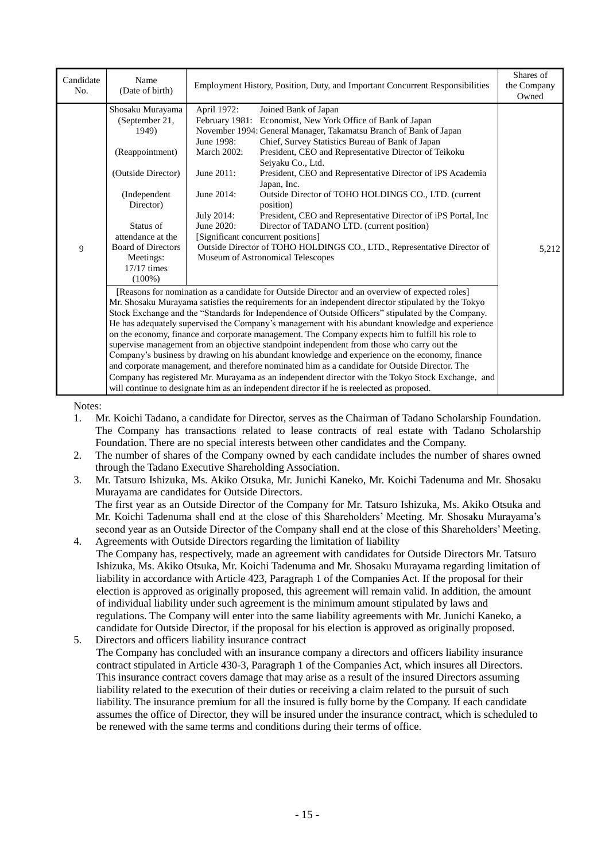| Candidate<br>No. | Name<br>(Date of birth)                                                                                                                                                                                                                                                                                                                                                                                                                                                                                                                                                                                                                                                                                                                                                                                                                                                                                                                                                                                                 | Employment History, Position, Duty, and Important Concurrent Responsibilities                                                                                                                                                                                                                                                                                                                                                                                                                                                                                                                                                                                                                                                                                                                                                  | Shares of<br>the Company<br>Owned |
|------------------|-------------------------------------------------------------------------------------------------------------------------------------------------------------------------------------------------------------------------------------------------------------------------------------------------------------------------------------------------------------------------------------------------------------------------------------------------------------------------------------------------------------------------------------------------------------------------------------------------------------------------------------------------------------------------------------------------------------------------------------------------------------------------------------------------------------------------------------------------------------------------------------------------------------------------------------------------------------------------------------------------------------------------|--------------------------------------------------------------------------------------------------------------------------------------------------------------------------------------------------------------------------------------------------------------------------------------------------------------------------------------------------------------------------------------------------------------------------------------------------------------------------------------------------------------------------------------------------------------------------------------------------------------------------------------------------------------------------------------------------------------------------------------------------------------------------------------------------------------------------------|-----------------------------------|
| 9                | Shosaku Murayama<br>(September 21,<br>1949)<br>(Reappointment)<br>(Outside Director)<br>(Independent)<br>Director)<br>Status of<br>attendance at the<br><b>Board of Directors</b><br>Meetings:<br>$17/17$ times<br>$(100\%)$                                                                                                                                                                                                                                                                                                                                                                                                                                                                                                                                                                                                                                                                                                                                                                                            | April 1972:<br>Joined Bank of Japan<br>Economist, New York Office of Bank of Japan<br>February 1981:<br>November 1994: General Manager, Takamatsu Branch of Bank of Japan<br>Chief, Survey Statistics Bureau of Bank of Japan<br>June 1998:<br>President, CEO and Representative Director of Teikoku<br><b>March 2002:</b><br>Seivaku Co., Ltd.<br>President, CEO and Representative Director of iPS Academia<br>June 2011:<br>Japan, Inc.<br>June 2014:<br>Outside Director of TOHO HOLDINGS CO., LTD. (current<br>position)<br>July 2014:<br>President, CEO and Representative Director of iPS Portal, Inc<br>June 2020:<br>Director of TADANO LTD. (current position)<br>[Significant concurrent positions]<br>Outside Director of TOHO HOLDINGS CO., LTD., Representative Director of<br>Museum of Astronomical Telescopes | 5,212                             |
|                  | [Reasons for nomination as a candidate for Outside Director and an overview of expected roles]<br>Mr. Shosaku Murayama satisfies the requirements for an independent director stipulated by the Tokyo<br>Stock Exchange and the "Standards for Independence of Outside Officers" stipulated by the Company.<br>He has adequately supervised the Company's management with his abundant knowledge and experience<br>on the economy, finance and corporate management. The Company expects him to fulfill his role to<br>supervise management from an objective standpoint independent from those who carry out the<br>Company's business by drawing on his abundant knowledge and experience on the economy, finance<br>and corporate management, and therefore nominated him as a candidate for Outside Director. The<br>Company has registered Mr. Murayama as an independent director with the Tokyo Stock Exchange, and<br>will continue to designate him as an independent director if he is reelected as proposed. |                                                                                                                                                                                                                                                                                                                                                                                                                                                                                                                                                                                                                                                                                                                                                                                                                                |                                   |

Notes:

- 1. Mr. Koichi Tadano, a candidate for Director, serves as the Chairman of Tadano Scholarship Foundation. The Company has transactions related to lease contracts of real estate with Tadano Scholarship Foundation. There are no special interests between other candidates and the Company.
- 2. The number of shares of the Company owned by each candidate includes the number of shares owned through the Tadano Executive Shareholding Association.
- 3. Mr. Tatsuro Ishizuka, Ms. Akiko Otsuka, Mr. Junichi Kaneko, Mr. Koichi Tadenuma and Mr. Shosaku Murayama are candidates for Outside Directors. The first year as an Outside Director of the Company for Mr. Tatsuro Ishizuka, Ms. Akiko Otsuka and Mr. Koichi Tadenuma shall end at the close of this Shareholders' Meeting. Mr. Shosaku Murayama's
- second year as an Outside Director of the Company shall end at the close of this Shareholders' Meeting. 4. Agreements with Outside Directors regarding the limitation of liability The Company has, respectively, made an agreement with candidates for Outside Directors Mr. Tatsuro Ishizuka, Ms. Akiko Otsuka, Mr. Koichi Tadenuma and Mr. Shosaku Murayama regarding limitation of liability in accordance with Article 423, Paragraph 1 of the Companies Act. If the proposal for their election is approved as originally proposed, this agreement will remain valid. In addition, the amount of individual liability under such agreement is the minimum amount stipulated by laws and regulations. The Company will enter into the same liability agreements with Mr. Junichi Kaneko, a candidate for Outside Director, if the proposal for his election is approved as originally proposed.
- 5. Directors and officers liability insurance contract The Company has concluded with an insurance company a directors and officers liability insurance contract stipulated in Article 430-3, Paragraph 1 of the Companies Act, which insures all Directors. This insurance contract covers damage that may arise as a result of the insured Directors assuming liability related to the execution of their duties or receiving a claim related to the pursuit of such liability. The insurance premium for all the insured is fully borne by the Company. If each candidate assumes the office of Director, they will be insured under the insurance contract, which is scheduled to be renewed with the same terms and conditions during their terms of office.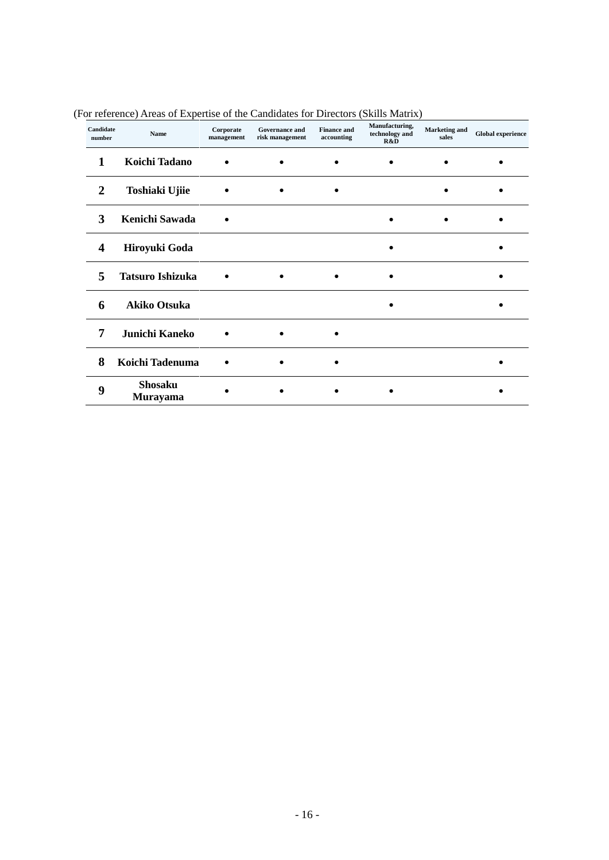| Candidate<br>number | Name                       | Corporate<br>management | <b>Governance and</b><br>risk management | <b>Finance and</b><br>accounting | Manufacturing,<br>technology and<br>R&D | <b>Marketing</b> and<br>sales | <b>Global experience</b> |
|---------------------|----------------------------|-------------------------|------------------------------------------|----------------------------------|-----------------------------------------|-------------------------------|--------------------------|
| 1                   | Koichi Tadano              |                         |                                          |                                  |                                         |                               |                          |
| 2                   | Toshiaki Ujiie             |                         |                                          |                                  |                                         |                               |                          |
| 3                   | Kenichi Sawada             |                         |                                          |                                  |                                         |                               |                          |
| 4                   | Hiroyuki Goda              |                         |                                          |                                  |                                         |                               |                          |
| 5                   | <b>Tatsuro Ishizuka</b>    |                         |                                          |                                  |                                         |                               |                          |
| 6                   | <b>Akiko Otsuka</b>        |                         |                                          |                                  |                                         |                               |                          |
| 7                   | Junichi Kaneko             |                         |                                          |                                  |                                         |                               |                          |
| 8                   | Koichi Tadenuma            |                         |                                          |                                  |                                         |                               |                          |
| 9                   | <b>Shosaku</b><br>Murayama |                         |                                          |                                  |                                         |                               |                          |

(For reference) Areas of Expertise of the Candidates for Directors (Skills Matrix)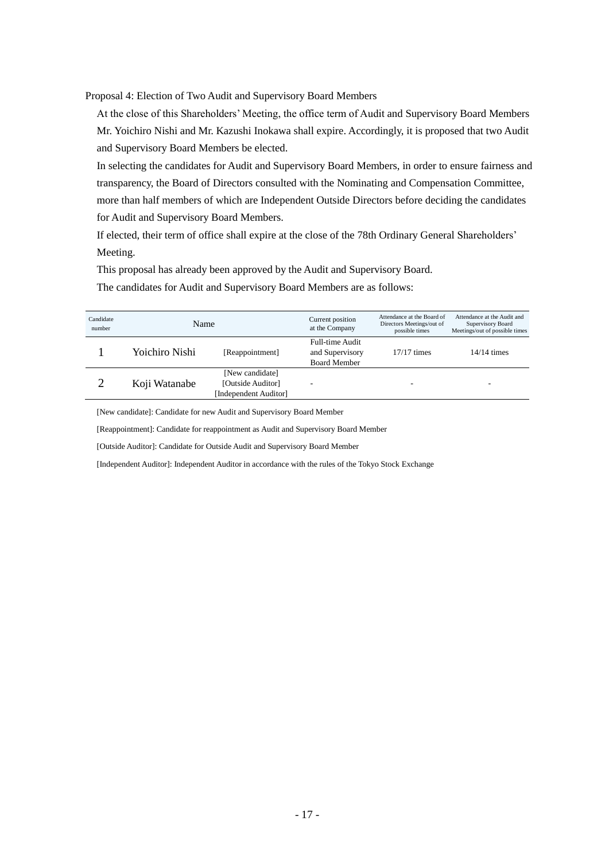Proposal 4: Election of Two Audit and Supervisory Board Members

At the close of this Shareholders' Meeting, the office term of Audit and Supervisory Board Members Mr. Yoichiro Nishi and Mr. Kazushi Inokawa shall expire. Accordingly, it is proposed that two Audit and Supervisory Board Members be elected.

In selecting the candidates for Audit and Supervisory Board Members, in order to ensure fairness and transparency, the Board of Directors consulted with the Nominating and Compensation Committee, more than half members of which are Independent Outside Directors before deciding the candidates for Audit and Supervisory Board Members.

If elected, their term of office shall expire at the close of the 78th Ordinary General Shareholders' Meeting.

This proposal has already been approved by the Audit and Supervisory Board.

The candidates for Audit and Supervisory Board Members are as follows:

| Candidate<br>number | Name           |                                                               | Current position<br>at the Company                               | Attendance at the Board of<br>Directors Meetings/out of<br>possible times | Attendance at the Audit and<br>Supervisory Board<br>Meetings/out of possible times |
|---------------------|----------------|---------------------------------------------------------------|------------------------------------------------------------------|---------------------------------------------------------------------------|------------------------------------------------------------------------------------|
|                     | Yoichiro Nishi | [Reappointment]                                               | <b>Full-time Audit</b><br>and Supervisory<br><b>Board Member</b> | $17/17$ times                                                             | $14/14$ times                                                                      |
|                     | Koji Watanabe  | [New candidate]<br>[Outside Auditor]<br>[Independent Auditor] |                                                                  |                                                                           |                                                                                    |

[New candidate]: Candidate for new Audit and Supervisory Board Member

[Reappointment]: Candidate for reappointment as Audit and Supervisory Board Member

[Outside Auditor]: Candidate for Outside Audit and Supervisory Board Member

[Independent Auditor]: Independent Auditor in accordance with the rules of the Tokyo Stock Exchange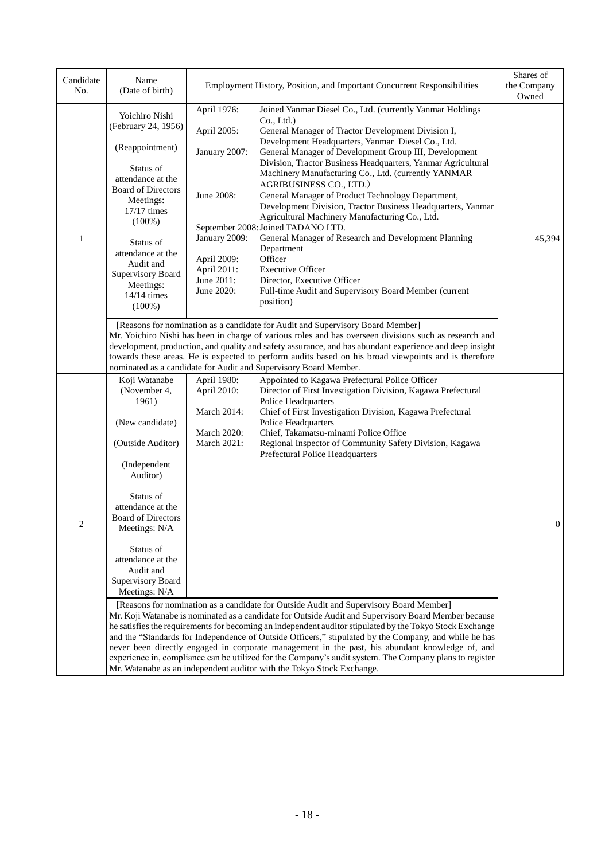| Candidate<br>No. | Name<br>(Date of birth)                                                                                                                                                                                                                                                                                                                                                                                                                                                         |                                                                                                                                      | Employment History, Position, and Important Concurrent Responsibilities                                                                                                                                                                                                                                                                                                                                                                                                                                                                                                                                                                                                                                                                                                                                                     | Shares of<br>the Company<br>Owned |  |  |
|------------------|---------------------------------------------------------------------------------------------------------------------------------------------------------------------------------------------------------------------------------------------------------------------------------------------------------------------------------------------------------------------------------------------------------------------------------------------------------------------------------|--------------------------------------------------------------------------------------------------------------------------------------|-----------------------------------------------------------------------------------------------------------------------------------------------------------------------------------------------------------------------------------------------------------------------------------------------------------------------------------------------------------------------------------------------------------------------------------------------------------------------------------------------------------------------------------------------------------------------------------------------------------------------------------------------------------------------------------------------------------------------------------------------------------------------------------------------------------------------------|-----------------------------------|--|--|
| $\mathbf{1}$     | Yoichiro Nishi<br>(February 24, 1956)<br>(Reappointment)<br>Status of<br>attendance at the<br><b>Board of Directors</b><br>Meetings:<br>$17/17$ times<br>$(100\%)$<br>Status of<br>attendance at the<br>Audit and<br>Supervisory Board<br>Meetings:<br>14/14 times<br>$(100\%)$                                                                                                                                                                                                 | April 1976:<br>April 2005:<br>January 2007:<br>June 2008:<br>January 2009:<br>April 2009:<br>April 2011:<br>June 2011:<br>June 2020: | Joined Yanmar Diesel Co., Ltd. (currently Yanmar Holdings<br>Co., Ltd.)<br>General Manager of Tractor Development Division I,<br>Development Headquarters, Yanmar Diesel Co., Ltd.<br>General Manager of Development Group III, Development<br>Division, Tractor Business Headquarters, Yanmar Agricultural<br>Machinery Manufacturing Co., Ltd. (currently YANMAR<br>AGRIBUSINESS CO., LTD.)<br>General Manager of Product Technology Department,<br>Development Division, Tractor Business Headquarters, Yanmar<br>Agricultural Machinery Manufacturing Co., Ltd.<br>September 2008: Joined TADANO LTD.<br>General Manager of Research and Development Planning<br>Department<br>Officer<br><b>Executive Officer</b><br>Director, Executive Officer<br>Full-time Audit and Supervisory Board Member (current<br>position) | 45,394                            |  |  |
|                  | [Reasons for nomination as a candidate for Audit and Supervisory Board Member]<br>Mr. Yoichiro Nishi has been in charge of various roles and has overseen divisions such as research and<br>development, production, and quality and safety assurance, and has abundant experience and deep insight<br>towards these areas. He is expected to perform audits based on his broad viewpoints and is therefore<br>nominated as a candidate for Audit and Supervisory Board Member. |                                                                                                                                      |                                                                                                                                                                                                                                                                                                                                                                                                                                                                                                                                                                                                                                                                                                                                                                                                                             |                                   |  |  |
|                  | Koji Watanabe<br>(November 4,<br>1961)<br>(New candidate)<br>(Outside Auditor)<br>(Independent<br>Auditor)<br>Status of<br>attendance at the<br><b>Board of Directors</b><br>Meetings: N/A<br>Status of<br>attendance at the<br>Audit and<br>Supervisory Board<br>Meetings: N/A                                                                                                                                                                                                 | April 1980:<br>April 2010:<br>March 2014:<br>March 2020:<br>March 2021:                                                              | Appointed to Kagawa Prefectural Police Officer<br>Director of First Investigation Division, Kagawa Prefectural<br><b>Police Headquarters</b><br>Chief of First Investigation Division, Kagawa Prefectural<br>Police Headquarters<br>Chief, Takamatsu-minami Police Office<br>Regional Inspector of Community Safety Division, Kagawa<br>Prefectural Police Headquarters<br>[Reasons for nomination as a candidate for Outside Audit and Supervisory Board Member]                                                                                                                                                                                                                                                                                                                                                           | $\boldsymbol{0}$                  |  |  |
|                  |                                                                                                                                                                                                                                                                                                                                                                                                                                                                                 |                                                                                                                                      | Mr. Koji Watanabe is nominated as a candidate for Outside Audit and Supervisory Board Member because<br>he satisfies the requirements for becoming an independent auditor stipulated by the Tokyo Stock Exchange<br>and the "Standards for Independence of Outside Officers," stipulated by the Company, and while he has<br>never been directly engaged in corporate management in the past, his abundant knowledge of, and<br>experience in, compliance can be utilized for the Company's audit system. The Company plans to register<br>Mr. Watanabe as an independent auditor with the Tokyo Stock Exchange.                                                                                                                                                                                                            |                                   |  |  |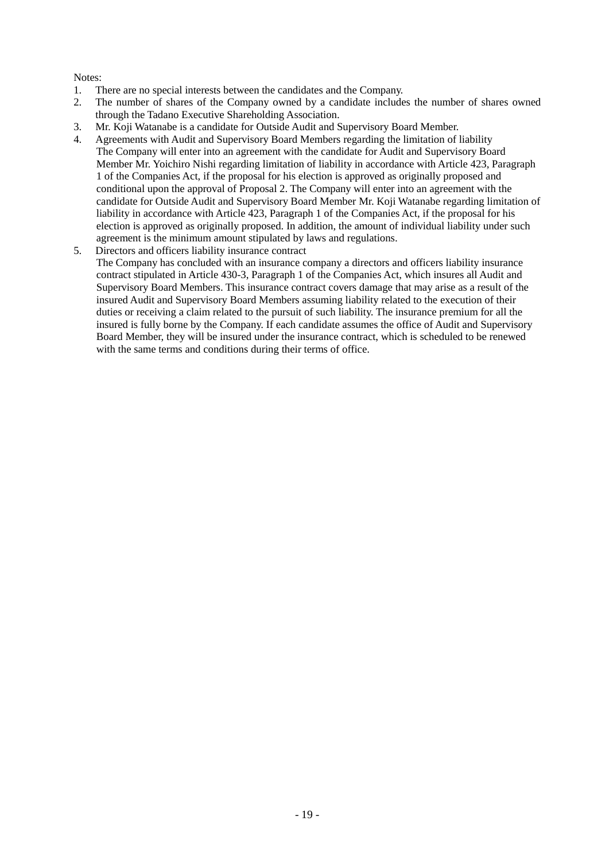### Notes:

- 1. There are no special interests between the candidates and the Company.
- 2. The number of shares of the Company owned by a candidate includes the number of shares owned through the Tadano Executive Shareholding Association.
- 3. Mr. Koji Watanabe is a candidate for Outside Audit and Supervisory Board Member.
- 4. Agreements with Audit and Supervisory Board Members regarding the limitation of liability The Company will enter into an agreement with the candidate for Audit and Supervisory Board Member Mr. Yoichiro Nishi regarding limitation of liability in accordance with Article 423, Paragraph 1 of the Companies Act, if the proposal for his election is approved as originally proposed and conditional upon the approval of Proposal 2. The Company will enter into an agreement with the candidate for Outside Audit and Supervisory Board Member Mr. Koji Watanabe regarding limitation of liability in accordance with Article 423, Paragraph 1 of the Companies Act, if the proposal for his election is approved as originally proposed. In addition, the amount of individual liability under such agreement is the minimum amount stipulated by laws and regulations.
- 5. Directors and officers liability insurance contract

The Company has concluded with an insurance company a directors and officers liability insurance contract stipulated in Article 430-3, Paragraph 1 of the Companies Act, which insures all Audit and Supervisory Board Members. This insurance contract covers damage that may arise as a result of the insured Audit and Supervisory Board Members assuming liability related to the execution of their duties or receiving a claim related to the pursuit of such liability. The insurance premium for all the insured is fully borne by the Company. If each candidate assumes the office of Audit and Supervisory Board Member, they will be insured under the insurance contract, which is scheduled to be renewed with the same terms and conditions during their terms of office.